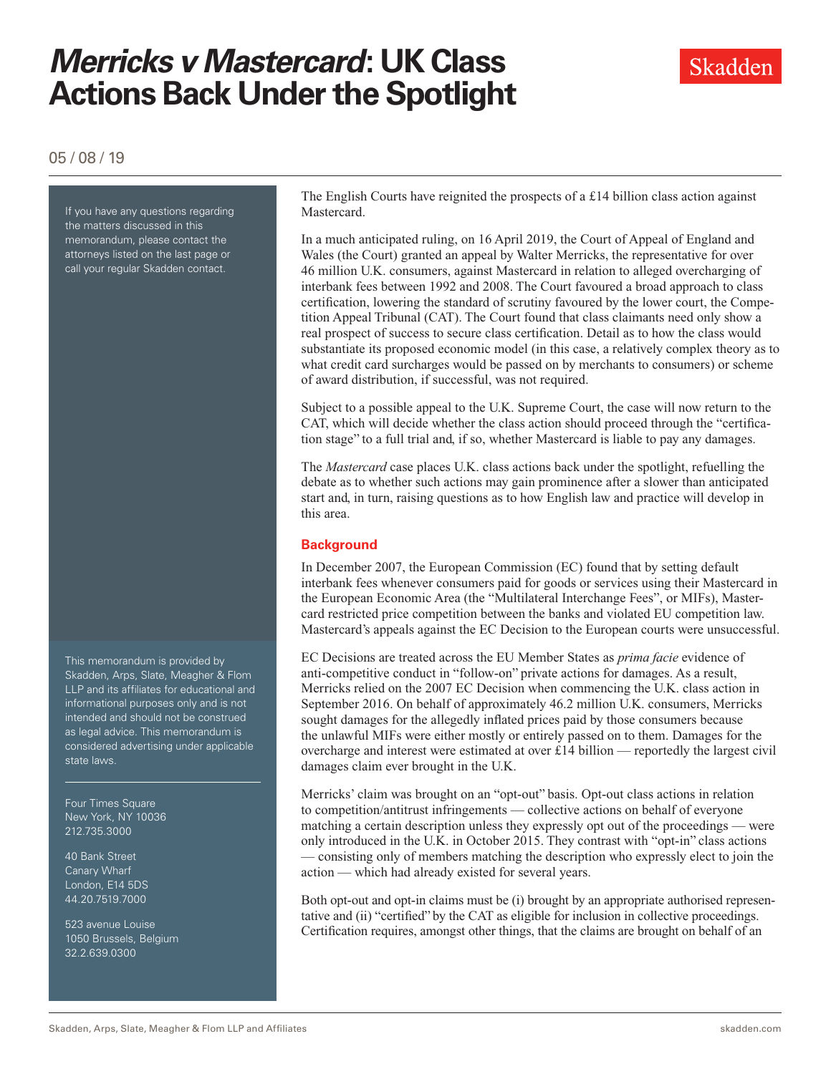# *Merricks v Mastercard***: UK Class Actions Back Under the Spotlight**



05 / 08 / 19

If you have any questions regarding the matters discussed in this memorandum, please contact the attorneys listed on the last page or call your regular Skadden contact.

This memorandum is provided by Skadden, Arps, Slate, Meagher & Flom LLP and its affiliates for educational and informational purposes only and is not intended and should not be construed as legal advice. This memorandum is considered advertising under applicable state laws.

Four Times Square New York, NY 10036 212.735.3000

40 Bank Street Canary Wharf London, E14 5DS 44.20.7519.7000

523 avenue Louise 1050 Brussels, Belgium 32.2.639.0300

The English Courts have reignited the prospects of a £14 billion class action against Mastercard.

In a much anticipated ruling, on 16 April 2019, the Court of Appeal of England and Wales (the Court) granted an appeal by Walter Merricks, the representative for over 46 million U.K. consumers, against Mastercard in relation to alleged overcharging of interbank fees between 1992 and 2008. The Court favoured a broad approach to class certification, lowering the standard of scrutiny favoured by the lower court, the Competition Appeal Tribunal (CAT). The Court found that class claimants need only show a real prospect of success to secure class certification. Detail as to how the class would substantiate its proposed economic model (in this case, a relatively complex theory as to what credit card surcharges would be passed on by merchants to consumers) or scheme of award distribution, if successful, was not required.

Subject to a possible appeal to the U.K. Supreme Court, the case will now return to the CAT, which will decide whether the class action should proceed through the "certification stage" to a full trial and, if so, whether Mastercard is liable to pay any damages.

The *Mastercard* case places U.K. class actions back under the spotlight, refuelling the debate as to whether such actions may gain prominence after a slower than anticipated start and, in turn, raising questions as to how English law and practice will develop in this area.

### **Background**

In December 2007, the European Commission (EC) found that by setting default interbank fees whenever consumers paid for goods or services using their Mastercard in the European Economic Area (the "Multilateral Interchange Fees", or MIFs), Mastercard restricted price competition between the banks and violated EU competition law. Mastercard's appeals against the EC Decision to the European courts were unsuccessful.

EC Decisions are treated across the EU Member States as *prima facie* evidence of anti-competitive conduct in "follow-on" private actions for damages. As a result, Merricks relied on the 2007 EC Decision when commencing the U.K. class action in September 2016. On behalf of approximately 46.2 million U.K. consumers, Merricks sought damages for the allegedly inflated prices paid by those consumers because the unlawful MIFs were either mostly or entirely passed on to them. Damages for the overcharge and interest were estimated at over £14 billion — reportedly the largest civil damages claim ever brought in the U.K.

Merricks' claim was brought on an "opt-out" basis. Opt-out class actions in relation to competition/antitrust infringements — collective actions on behalf of everyone matching a certain description unless they expressly opt out of the proceedings — were only introduced in the U.K. in October 2015. They contrast with "opt-in" class actions — consisting only of members matching the description who expressly elect to join the action — which had already existed for several years.

Both opt-out and opt-in claims must be (i) brought by an appropriate authorised representative and (ii) "certified" by the CAT as eligible for inclusion in collective proceedings. Certification requires, amongst other things, that the claims are brought on behalf of an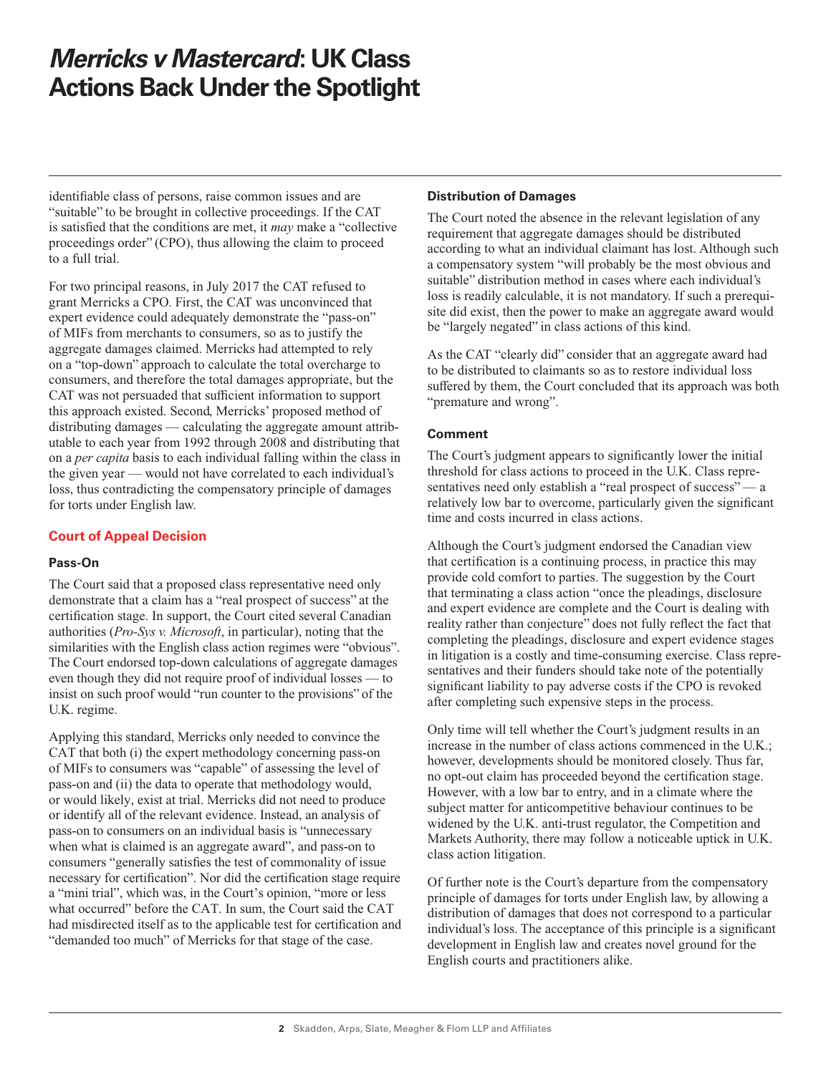# *Merricks v Mastercard***: UK Class Actions Back Under the Spotlight**

identifiable class of persons, raise common issues and are "suitable" to be brought in collective proceedings. If the CAT is satisfied that the conditions are met, it *may* make a "collective proceedings order" (CPO), thus allowing the claim to proceed to a full trial.

For two principal reasons, in July 2017 the CAT refused to grant Merricks a CPO. First, the CAT was unconvinced that expert evidence could adequately demonstrate the "pass-on" of MIFs from merchants to consumers, so as to justify the aggregate damages claimed. Merricks had attempted to rely on a "top-down" approach to calculate the total overcharge to consumers, and therefore the total damages appropriate, but the CAT was not persuaded that sufficient information to support this approach existed. Second, Merricks' proposed method of distributing damages — calculating the aggregate amount attributable to each year from 1992 through 2008 and distributing that on a *per capita* basis to each individual falling within the class in the given year — would not have correlated to each individual's loss, thus contradicting the compensatory principle of damages for torts under English law.

## **Court of Appeal Decision**

### **Pass-On**

The Court said that a proposed class representative need only demonstrate that a claim has a "real prospect of success" at the certification stage. In support, the Court cited several Canadian authorities (*Pro-Sys v. Microsoft*, in particular), noting that the similarities with the English class action regimes were "obvious". The Court endorsed top-down calculations of aggregate damages even though they did not require proof of individual losses — to insist on such proof would "run counter to the provisions" of the U.K. regime.

Applying this standard, Merricks only needed to convince the CAT that both (i) the expert methodology concerning pass-on of MIFs to consumers was "capable" of assessing the level of pass-on and (ii) the data to operate that methodology would, or would likely, exist at trial. Merricks did not need to produce or identify all of the relevant evidence. Instead, an analysis of pass-on to consumers on an individual basis is "unnecessary when what is claimed is an aggregate award", and pass-on to consumers "generally satisfies the test of commonality of issue necessary for certification". Nor did the certification stage require a "mini trial", which was, in the Court's opinion, "more or less what occurred" before the CAT. In sum, the Court said the CAT had misdirected itself as to the applicable test for certification and "demanded too much" of Merricks for that stage of the case.

### **Distribution of Damages**

The Court noted the absence in the relevant legislation of any requirement that aggregate damages should be distributed according to what an individual claimant has lost. Although such a compensatory system "will probably be the most obvious and suitable" distribution method in cases where each individual's loss is readily calculable, it is not mandatory. If such a prerequisite did exist, then the power to make an aggregate award would be "largely negated" in class actions of this kind.

As the CAT "clearly did" consider that an aggregate award had to be distributed to claimants so as to restore individual loss suffered by them, the Court concluded that its approach was both "premature and wrong".

### **Comment**

The Court's judgment appears to significantly lower the initial threshold for class actions to proceed in the U.K. Class representatives need only establish a "real prospect of success" — a relatively low bar to overcome, particularly given the significant time and costs incurred in class actions.

Although the Court's judgment endorsed the Canadian view that certification is a continuing process, in practice this may provide cold comfort to parties. The suggestion by the Court that terminating a class action "once the pleadings, disclosure and expert evidence are complete and the Court is dealing with reality rather than conjecture" does not fully reflect the fact that completing the pleadings, disclosure and expert evidence stages in litigation is a costly and time-consuming exercise. Class representatives and their funders should take note of the potentially significant liability to pay adverse costs if the CPO is revoked after completing such expensive steps in the process.

Only time will tell whether the Court's judgment results in an increase in the number of class actions commenced in the U.K.; however, developments should be monitored closely. Thus far, no opt-out claim has proceeded beyond the certification stage. However, with a low bar to entry, and in a climate where the subject matter for anticompetitive behaviour continues to be widened by the U.K. anti-trust regulator, the Competition and Markets Authority, there may follow a noticeable uptick in U.K. class action litigation.

Of further note is the Court's departure from the compensatory principle of damages for torts under English law, by allowing a distribution of damages that does not correspond to a particular individual's loss. The acceptance of this principle is a significant development in English law and creates novel ground for the English courts and practitioners alike.